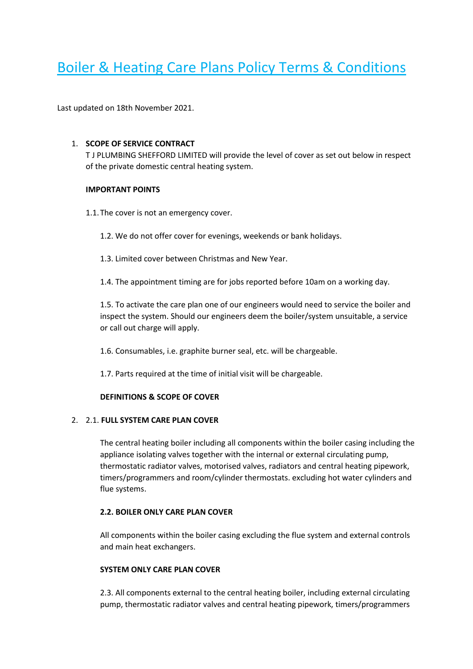# Boiler & Heating Care Plans Policy Terms & Conditions

Last updated on 18th November 2021.

#### 1. **SCOPE OF SERVICE CONTRACT**

T J PLUMBING SHEFFORD LIMITED will provide the level of cover as set out below in respect of the private domestic central heating system.

#### **IMPORTANT POINTS**

- 1.1.The cover is not an emergency cover.
	- 1.2. We do not offer cover for evenings, weekends or bank holidays.
	- 1.3. Limited cover between Christmas and New Year.
	- 1.4. The appointment timing are for jobs reported before 10am on a working day.

1.5. To activate the care plan one of our engineers would need to service the boiler and inspect the system. Should our engineers deem the boiler/system unsuitable, a service or call out charge will apply.

- 1.6. Consumables, i.e. graphite burner seal, etc. will be chargeable.
- 1.7. Parts required at the time of initial visit will be chargeable.

#### **DEFINITIONS & SCOPE OF COVER**

#### 2. 2.1. **FULL SYSTEM CARE PLAN COVER**

The central heating boiler including all components within the boiler casing including the appliance isolating valves together with the internal or external circulating pump, thermostatic radiator valves, motorised valves, radiators and central heating pipework, timers/programmers and room/cylinder thermostats. excluding hot water cylinders and flue systems.

## **2.2. BOILER ONLY CARE PLAN COVER**

All components within the boiler casing excluding the flue system and external controls and main heat exchangers.

#### **SYSTEM ONLY CARE PLAN COVER**

2.3. All components external to the central heating boiler, including external circulating pump, thermostatic radiator valves and central heating pipework, timers/programmers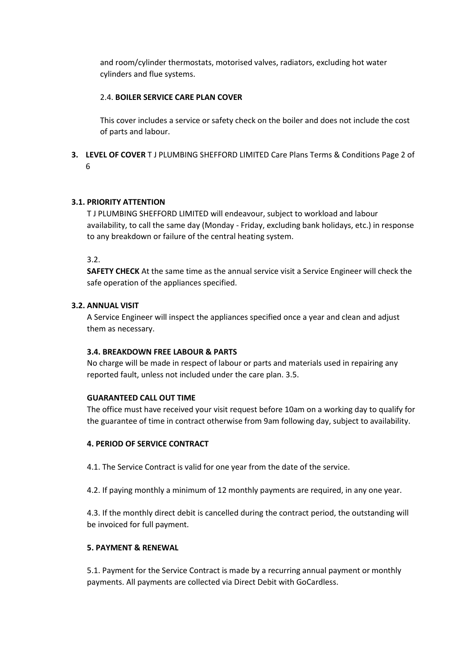and room/cylinder thermostats, motorised valves, radiators, excluding hot water cylinders and flue systems.

## 2.4. **BOILER SERVICE CARE PLAN COVER**

This cover includes a service or safety check on the boiler and does not include the cost of parts and labour.

**3. LEVEL OF COVER** T J PLUMBING SHEFFORD LIMITED Care Plans Terms & Conditions Page 2 of 6

## **3.1. PRIORITY ATTENTION**

T J PLUMBING SHEFFORD LIMITED will endeavour, subject to workload and labour availability, to call the same day (Monday - Friday, excluding bank holidays, etc.) in response to any breakdown or failure of the central heating system.

3.2.

**SAFETY CHECK** At the same time as the annual service visit a Service Engineer will check the safe operation of the appliances specified.

#### **3.2. ANNUAL VISIT**

A Service Engineer will inspect the appliances specified once a year and clean and adjust them as necessary.

#### **3.4. BREAKDOWN FREE LABOUR & PARTS**

No charge will be made in respect of labour or parts and materials used in repairing any reported fault, unless not included under the care plan. 3.5.

#### **GUARANTEED CALL OUT TIME**

The office must have received your visit request before 10am on a working day to qualify for the guarantee of time in contract otherwise from 9am following day, subject to availability.

## **4. PERIOD OF SERVICE CONTRACT**

4.1. The Service Contract is valid for one year from the date of the service.

4.2. If paying monthly a minimum of 12 monthly payments are required, in any one year.

4.3. If the monthly direct debit is cancelled during the contract period, the outstanding will be invoiced for full payment.

#### **5. PAYMENT & RENEWAL**

5.1. Payment for the Service Contract is made by a recurring annual payment or monthly payments. All payments are collected via Direct Debit with GoCardless.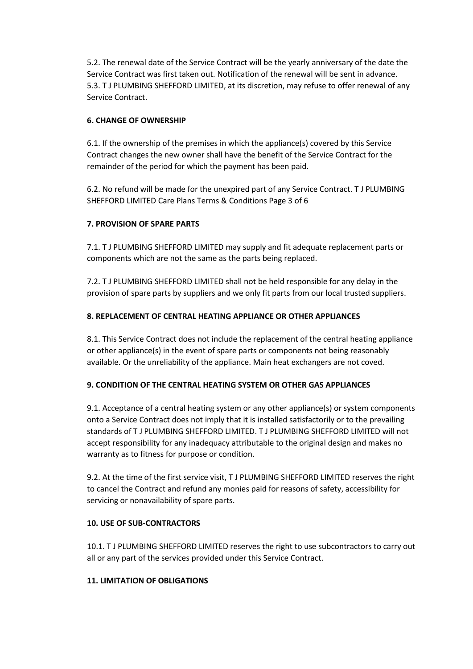5.2. The renewal date of the Service Contract will be the yearly anniversary of the date the Service Contract was first taken out. Notification of the renewal will be sent in advance. 5.3. T J PLUMBING SHEFFORD LIMITED, at its discretion, may refuse to offer renewal of any Service Contract.

## **6. CHANGE OF OWNERSHIP**

6.1. If the ownership of the premises in which the appliance(s) covered by this Service Contract changes the new owner shall have the benefit of the Service Contract for the remainder of the period for which the payment has been paid.

6.2. No refund will be made for the unexpired part of any Service Contract. T J PLUMBING SHEFFORD LIMITED Care Plans Terms & Conditions Page 3 of 6

# **7. PROVISION OF SPARE PARTS**

7.1. T J PLUMBING SHEFFORD LIMITED may supply and fit adequate replacement parts or components which are not the same as the parts being replaced.

7.2. T J PLUMBING SHEFFORD LIMITED shall not be held responsible for any delay in the provision of spare parts by suppliers and we only fit parts from our local trusted suppliers.

# **8. REPLACEMENT OF CENTRAL HEATING APPLIANCE OR OTHER APPLIANCES**

8.1. This Service Contract does not include the replacement of the central heating appliance or other appliance(s) in the event of spare parts or components not being reasonably available. Or the unreliability of the appliance. Main heat exchangers are not coved.

## **9. CONDITION OF THE CENTRAL HEATING SYSTEM OR OTHER GAS APPLIANCES**

9.1. Acceptance of a central heating system or any other appliance(s) or system components onto a Service Contract does not imply that it is installed satisfactorily or to the prevailing standards of T J PLUMBING SHEFFORD LIMITED. T J PLUMBING SHEFFORD LIMITED will not accept responsibility for any inadequacy attributable to the original design and makes no warranty as to fitness for purpose or condition.

9.2. At the time of the first service visit, T J PLUMBING SHEFFORD LIMITED reserves the right to cancel the Contract and refund any monies paid for reasons of safety, accessibility for servicing or nonavailability of spare parts.

## **10. USE OF SUB-CONTRACTORS**

10.1. T J PLUMBING SHEFFORD LIMITED reserves the right to use subcontractors to carry out all or any part of the services provided under this Service Contract.

## **11. LIMITATION OF OBLIGATIONS**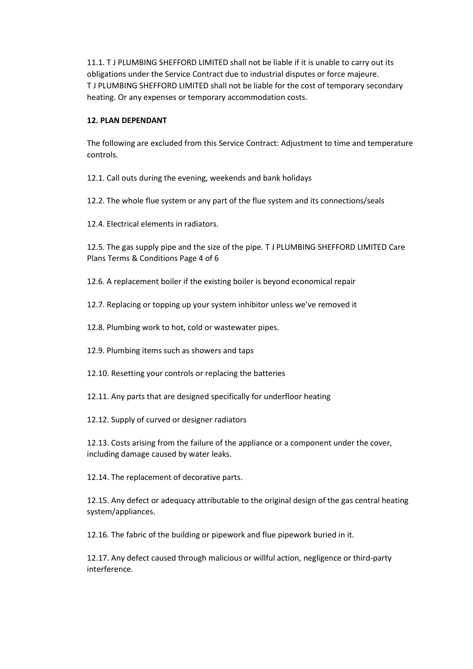11.1. T J PLUMBING SHEFFORD LIMITED shall not be liable if it is unable to carry out its obligations under the Service Contract due to industrial disputes or force majeure. T J PLUMBING SHEFFORD LIMITED shall not be liable for the cost of temporary secondary heating. Or any expenses or temporary accommodation costs.

## **12. PLAN DEPENDANT**

The following are excluded from this Service Contract: Adjustment to time and temperature controls.

12.1. Call outs during the evening, weekends and bank holidays

12.2. The whole flue system or any part of the flue system and its connections/seals

12.4. Electrical elements in radiators.

12.5. The gas supply pipe and the size of the pipe. T J PLUMBING SHEFFORD LIMITED Care Plans Terms & Conditions Page 4 of 6

12.6. A replacement boiler if the existing boiler is beyond economical repair

12.7. Replacing or topping up your system inhibitor unless we've removed it

12.8. Plumbing work to hot, cold or wastewater pipes.

12.9. Plumbing items such as showers and taps

12.10. Resetting your controls or replacing the batteries

12.11. Any parts that are designed specifically for underfloor heating

12.12. Supply of curved or designer radiators

12.13. Costs arising from the failure of the appliance or a component under the cover, including damage caused by water leaks.

12.14. The replacement of decorative parts.

12.15. Any defect or adequacy attributable to the original design of the gas central heating system/appliances.

12.16. The fabric of the building or pipework and flue pipework buried in it.

12.17. Any defect caused through malicious or willful action, negligence or third-party interference.